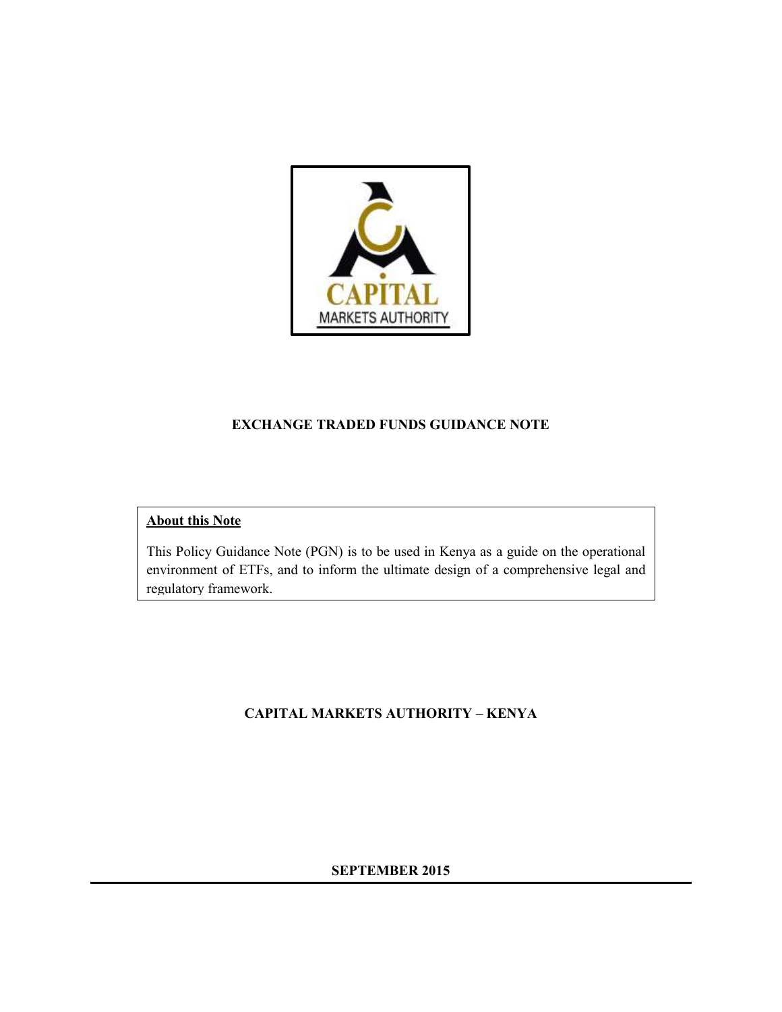

#### **EXCHANGE TRADED FUNDS GUIDANCE NOTE**

#### **About this Note**

This Policy Guidance Note (PGN) is to be used in Kenya as a guide on the operational environment of ETFs, and to inform the ultimate design of a comprehensive legal and regulatory framework.

### **CAPITAL MARKETS AUTHORITY – KENYA**

#### **SEPTEMBER 2015**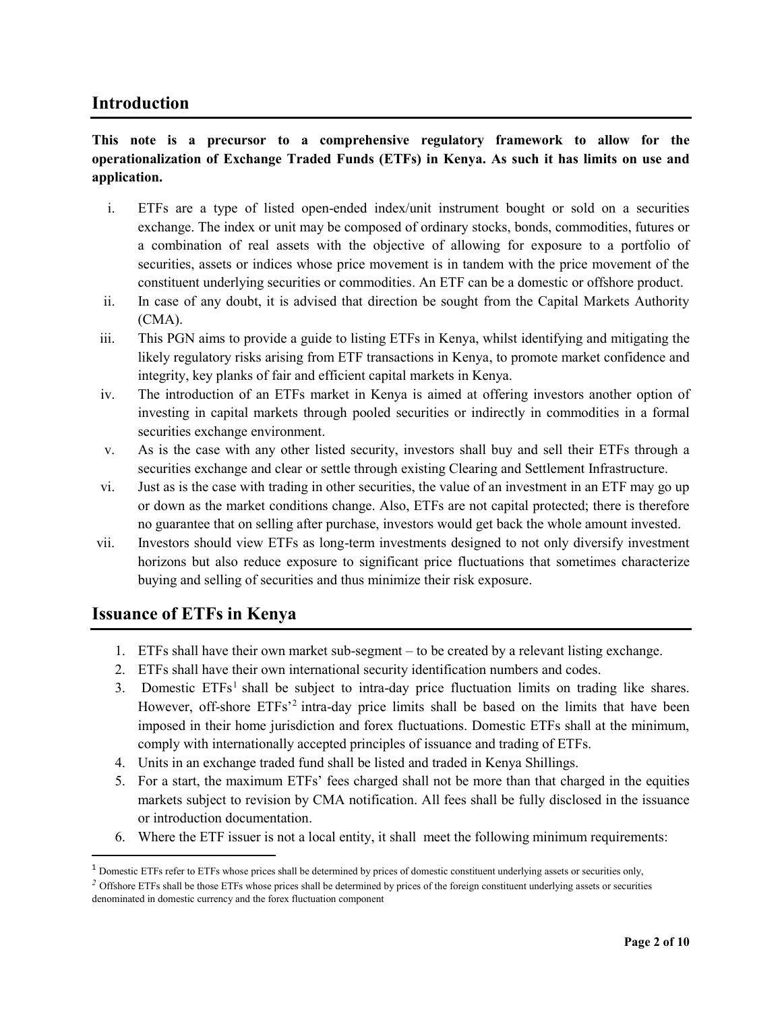#### **Introduction**

#### **This note is a precursor to a comprehensive regulatory framework to allow for the operationalization of Exchange Traded Funds (ETFs) in Kenya. As such it has limits on use and application.**

- i. ETFs are a type of listed open-ended index/unit instrument bought or sold on a securities exchange. The index or unit may be composed of ordinary stocks, bonds, commodities, futures or a combination of real assets with the objective of allowing for exposure to a portfolio of securities, assets or indices whose price movement is in tandem with the price movement of the constituent underlying securities or commodities. An ETF can be a domestic or offshore product.
- ii. In case of any doubt, it is advised that direction be sought from the Capital Markets Authority (CMA).
- iii. This PGN aims to provide a guide to listing ETFs in Kenya, whilst identifying and mitigating the likely regulatory risks arising from ETF transactions in Kenya, to promote market confidence and integrity, key planks of fair and efficient capital markets in Kenya.
- iv. The introduction of an ETFs market in Kenya is aimed at offering investors another option of investing in capital markets through pooled securities or indirectly in commodities in a formal securities exchange environment.
- v. As is the case with any other listed security, investors shall buy and sell their ETFs through a securities exchange and clear or settle through existing Clearing and Settlement Infrastructure.
- vi. Just as is the case with trading in other securities, the value of an investment in an ETF may go up or down as the market conditions change. Also, ETFs are not capital protected; there is therefore no guarantee that on selling after purchase, investors would get back the whole amount invested.
- vii. Investors should view ETFs as long-term investments designed to not only diversify investment horizons but also reduce exposure to significant price fluctuations that sometimes characterize buying and selling of securities and thus minimize their risk exposure.

### **Issuance of ETFs in Kenya**

 $\overline{\phantom{a}}$ 

- 1. ETFs shall have their own market sub-segment to be created by a relevant listing exchange.
- 2. ETFs shall have their own international security identification numbers and codes.
- 3. Domestic ETFs<sup>1</sup> shall be subject to intra-day price fluctuation limits on trading like shares. However, off-shore ETFs<sup>2</sup> intra-day price limits shall be based on the limits that have been imposed in their home jurisdiction and forex fluctuations. Domestic ETFs shall at the minimum, comply with internationally accepted principles of issuance and trading of ETFs.
- 4. Units in an exchange traded fund shall be listed and traded in Kenya Shillings.
- 5. For a start, the maximum ETFs' fees charged shall not be more than that charged in the equities markets subject to revision by CMA notification. All fees shall be fully disclosed in the issuance or introduction documentation.
- 6. Where the ETF issuer is not a local entity, it shall meet the following minimum requirements:

<sup>&</sup>lt;sup>1</sup> Domestic ETFs refer to ETFs whose prices shall be determined by prices of domestic constituent underlying assets or securities only,

<sup>&</sup>lt;sup>2</sup> Offshore ETFs shall be those ETFs whose prices shall be determined by prices of the foreign constituent underlying assets or securities denominated in domestic currency and the forex fluctuation component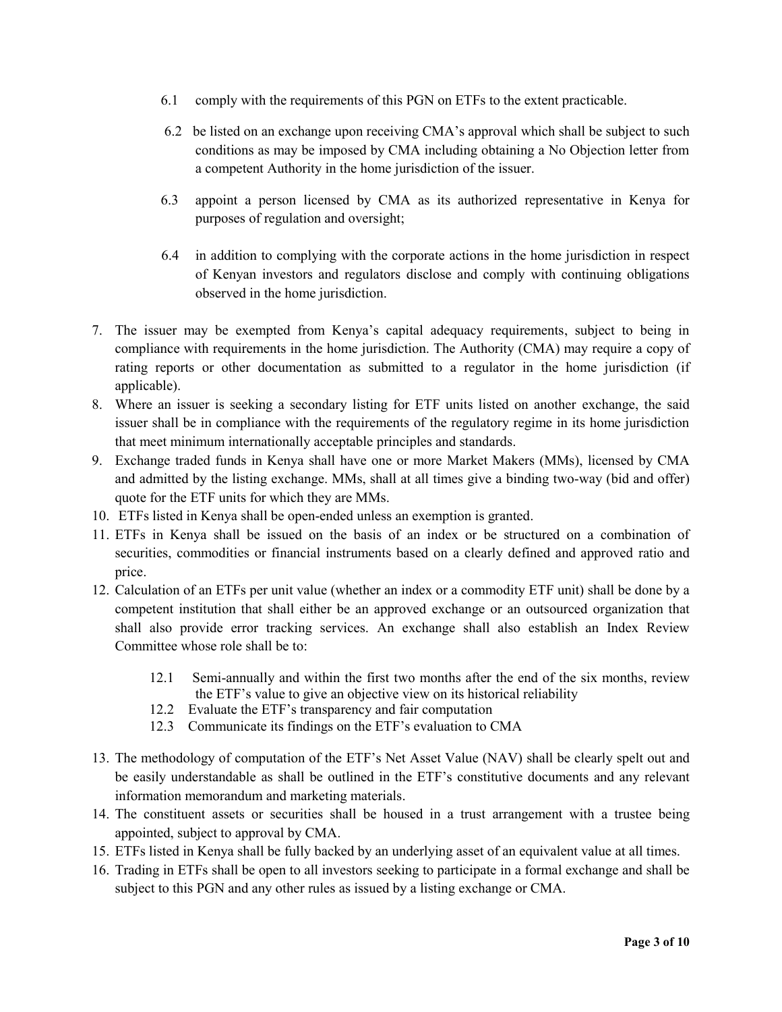- 6.1 comply with the requirements of this PGN on ETFs to the extent practicable.
- 6.2 be listed on an exchange upon receiving CMA's approval which shall be subject to such conditions as may be imposed by CMA including obtaining a No Objection letter from a competent Authority in the home jurisdiction of the issuer.
- 6.3 appoint a person licensed by CMA as its authorized representative in Kenya for purposes of regulation and oversight;
- 6.4 in addition to complying with the corporate actions in the home jurisdiction in respect of Kenyan investors and regulators disclose and comply with continuing obligations observed in the home jurisdiction.
- 7. The issuer may be exempted from Kenya's capital adequacy requirements, subject to being in compliance with requirements in the home jurisdiction. The Authority (CMA) may require a copy of rating reports or other documentation as submitted to a regulator in the home jurisdiction (if applicable).
- 8. Where an issuer is seeking a secondary listing for ETF units listed on another exchange, the said issuer shall be in compliance with the requirements of the regulatory regime in its home jurisdiction that meet minimum internationally acceptable principles and standards.
- 9. Exchange traded funds in Kenya shall have one or more Market Makers (MMs), licensed by CMA and admitted by the listing exchange. MMs, shall at all times give a binding two-way (bid and offer) quote for the ETF units for which they are MMs.
- 10. ETFs listed in Kenya shall be open-ended unless an exemption is granted.
- 11. ETFs in Kenya shall be issued on the basis of an index or be structured on a combination of securities, commodities or financial instruments based on a clearly defined and approved ratio and price.
- 12. Calculation of an ETFs per unit value (whether an index or a commodity ETF unit) shall be done by a competent institution that shall either be an approved exchange or an outsourced organization that shall also provide error tracking services. An exchange shall also establish an Index Review Committee whose role shall be to:
	- 12.1 Semi-annually and within the first two months after the end of the six months, review the ETF's value to give an objective view on its historical reliability
	- 12.2 Evaluate the ETF's transparency and fair computation
	- 12.3 Communicate its findings on the ETF's evaluation to CMA
- 13. The methodology of computation of the ETF's Net Asset Value (NAV) shall be clearly spelt out and be easily understandable as shall be outlined in the ETF's constitutive documents and any relevant information memorandum and marketing materials.
- 14. The constituent assets or securities shall be housed in a trust arrangement with a trustee being appointed, subject to approval by CMA.
- 15. ETFs listed in Kenya shall be fully backed by an underlying asset of an equivalent value at all times.
- 16. Trading in ETFs shall be open to all investors seeking to participate in a formal exchange and shall be subject to this PGN and any other rules as issued by a listing exchange or CMA.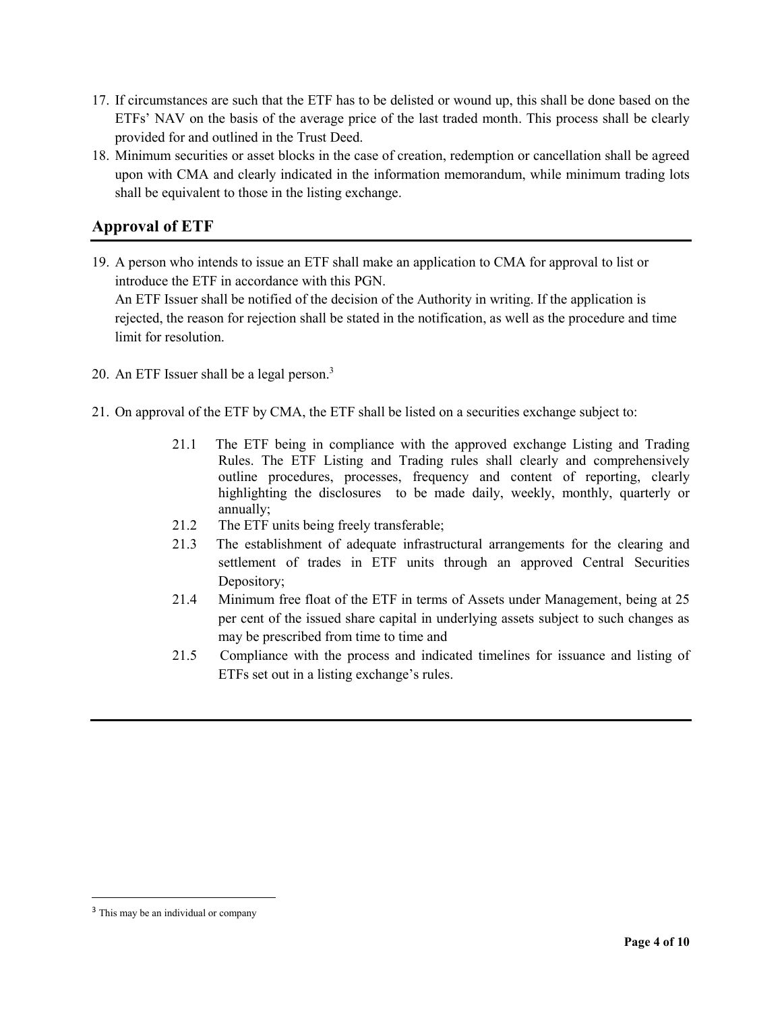- 17. If circumstances are such that the ETF has to be delisted or wound up, this shall be done based on the ETFs' NAV on the basis of the average price of the last traded month. This process shall be clearly provided for and outlined in the Trust Deed.
- 18. Minimum securities or asset blocks in the case of creation, redemption or cancellation shall be agreed upon with CMA and clearly indicated in the information memorandum, while minimum trading lots shall be equivalent to those in the listing exchange.

# **Approval of ETF**

- 19. A person who intends to issue an ETF shall make an application to CMA for approval to list or introduce the ETF in accordance with this PGN. An ETF Issuer shall be notified of the decision of the Authority in writing. If the application is rejected, the reason for rejection shall be stated in the notification, as well as the procedure and time limit for resolution.
- 20. An ETF Issuer shall be a legal person.<sup>3</sup>
- 21. On approval of the ETF by CMA, the ETF shall be listed on a securities exchange subject to:
	- 21.1 The ETF being in compliance with the approved exchange Listing and Trading Rules. The ETF Listing and Trading rules shall clearly and comprehensively outline procedures, processes, frequency and content of reporting, clearly highlighting the disclosures to be made daily, weekly, monthly, quarterly or annually;
	- 21.2 The ETF units being freely transferable;
	- 21.3 The establishment of adequate infrastructural arrangements for the clearing and settlement of trades in ETF units through an approved Central Securities Depository;
	- 21.4 Minimum free float of the ETF in terms of Assets under Management, being at 25 per cent of the issued share capital in underlying assets subject to such changes as may be prescribed from time to time and
	- 21.5 Compliance with the process and indicated timelines for issuance and listing of ETFs set out in a listing exchange's rules.

 $\overline{\phantom{a}}$ 

<sup>&</sup>lt;sup>3</sup> This may be an individual or company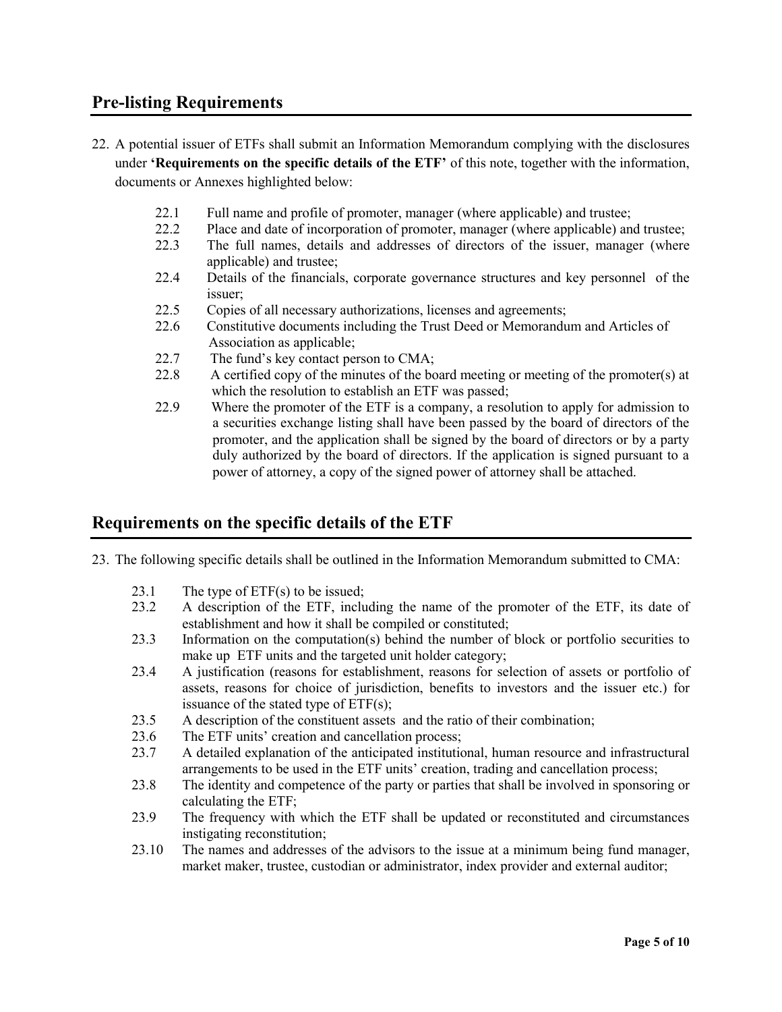## **Pre-listing Requirements**

- 22. A potential issuer of ETFs shall submit an Information Memorandum complying with the disclosures under **'Requirements on the specific details of the ETF'** of this note, together with the information, documents or Annexes highlighted below:
	- 22.1 Full name and profile of promoter, manager (where applicable) and trustee;
	- 22.2 Place and date of incorporation of promoter, manager (where applicable) and trustee;
	- 22.3 The full names, details and addresses of directors of the issuer, manager (where applicable) and trustee;
	- 22.4 Details of the financials, corporate governance structures and key personnel of the issuer;
	- 22.5 Copies of all necessary authorizations, licenses and agreements;
	- 22.6 Constitutive documents including the Trust Deed or Memorandum and Articles of Association as applicable;
	- 22.7 The fund's key contact person to CMA;
	- 22.8 A certified copy of the minutes of the board meeting or meeting of the promoter(s) at which the resolution to establish an ETF was passed;
	- 22.9 Where the promoter of the ETF is a company, a resolution to apply for admission to a securities exchange listing shall have been passed by the board of directors of the promoter, and the application shall be signed by the board of directors or by a party duly authorized by the board of directors. If the application is signed pursuant to a power of attorney, a copy of the signed power of attorney shall be attached.

### **Requirements on the specific details of the ETF**

- 23. The following specific details shall be outlined in the Information Memorandum submitted to CMA:
	- 23.1 The type of ETF(s) to be issued;
	- 23.2 A description of the ETF, including the name of the promoter of the ETF, its date of establishment and how it shall be compiled or constituted;
	- 23.3 Information on the computation(s) behind the number of block or portfolio securities to make up ETF units and the targeted unit holder category;
	- 23.4 A justification (reasons for establishment, reasons for selection of assets or portfolio of assets, reasons for choice of jurisdiction, benefits to investors and the issuer etc.) for issuance of the stated type of ETF(s);
	- 23.5 A description of the constituent assets and the ratio of their combination;
	- 23.6 The ETF units' creation and cancellation process;
	- 23.7 A detailed explanation of the anticipated institutional, human resource and infrastructural arrangements to be used in the ETF units' creation, trading and cancellation process;
	- 23.8 The identity and competence of the party or parties that shall be involved in sponsoring or calculating the ETF;
	- 23.9 The frequency with which the ETF shall be updated or reconstituted and circumstances instigating reconstitution;
	- 23.10 The names and addresses of the advisors to the issue at a minimum being fund manager, market maker, trustee, custodian or administrator, index provider and external auditor;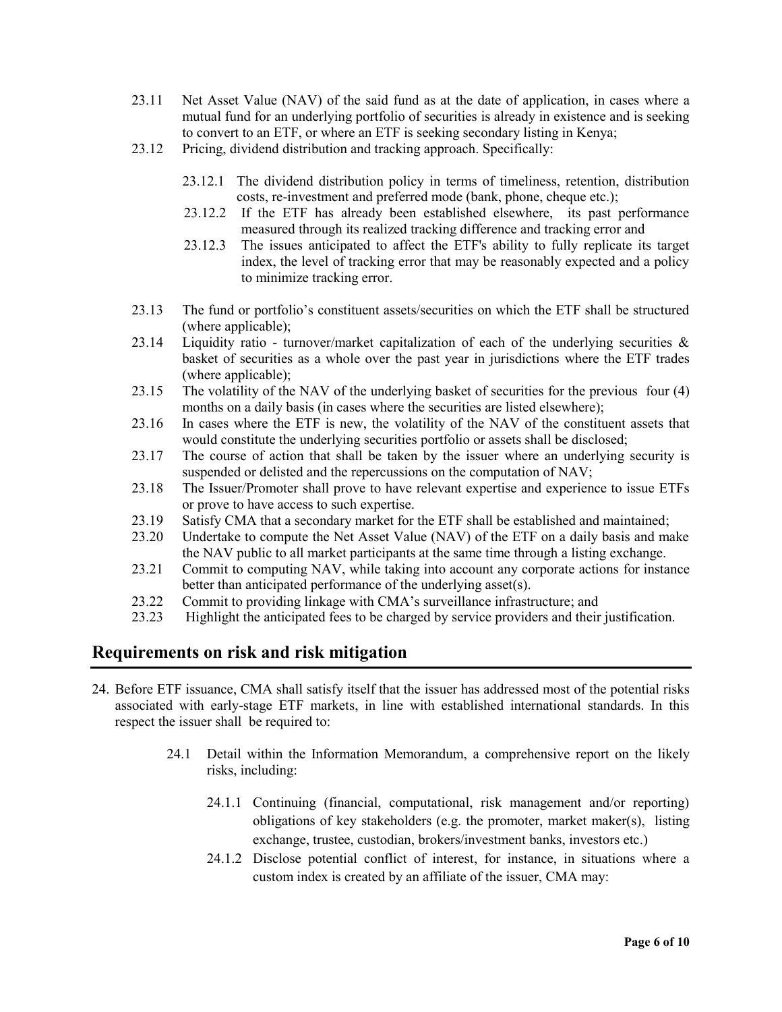- 23.11 Net Asset Value (NAV) of the said fund as at the date of application, in cases where a mutual fund for an underlying portfolio of securities is already in existence and is seeking to convert to an ETF, or where an ETF is seeking secondary listing in Kenya;
- 23.12 Pricing, dividend distribution and tracking approach. Specifically:
	- 23.12.1 The dividend distribution policy in terms of timeliness, retention, distribution costs, re-investment and preferred mode (bank, phone, cheque etc.);
	- 23.12.2 If the ETF has already been established elsewhere, its past performance measured through its realized tracking difference and tracking error and
	- 23.12.3 The issues anticipated to affect the ETF's ability to fully replicate its target index, the level of tracking error that may be reasonably expected and a policy to minimize tracking error.
- 23.13 The fund or portfolio's constituent assets/securities on which the ETF shall be structured (where applicable);
- 23.14 Liquidity ratio turnover/market capitalization of each of the underlying securities  $\&$ basket of securities as a whole over the past year in jurisdictions where the ETF trades (where applicable);
- 23.15 The volatility of the NAV of the underlying basket of securities for the previous four (4) months on a daily basis (in cases where the securities are listed elsewhere);
- 23.16 In cases where the ETF is new, the volatility of the NAV of the constituent assets that would constitute the underlying securities portfolio or assets shall be disclosed;
- 23.17 The course of action that shall be taken by the issuer where an underlying security is suspended or delisted and the repercussions on the computation of NAV;
- 23.18 The Issuer/Promoter shall prove to have relevant expertise and experience to issue ETFs or prove to have access to such expertise.
- 23.19 Satisfy CMA that a secondary market for the ETF shall be established and maintained;
- 23.20 Undertake to compute the Net Asset Value (NAV) of the ETF on a daily basis and make the NAV public to all market participants at the same time through a listing exchange.
- 23.21 Commit to computing NAV, while taking into account any corporate actions for instance better than anticipated performance of the underlying asset(s).
- 23.22 Commit to providing linkage with CMA's surveillance infrastructure; and
- 23.23 Highlight the anticipated fees to be charged by service providers and their justification.

### **Requirements on risk and risk mitigation**

- 24. Before ETF issuance, CMA shall satisfy itself that the issuer has addressed most of the potential risks associated with early-stage ETF markets, in line with established international standards. In this respect the issuer shall be required to:
	- 24.1 Detail within the Information Memorandum, a comprehensive report on the likely risks, including:
		- 24.1.1 Continuing (financial, computational, risk management and/or reporting) obligations of key stakeholders (e.g. the promoter, market maker(s), listing exchange, trustee, custodian, brokers/investment banks, investors etc.)
		- 24.1.2 Disclose potential conflict of interest, for instance, in situations where a custom index is created by an affiliate of the issuer, CMA may: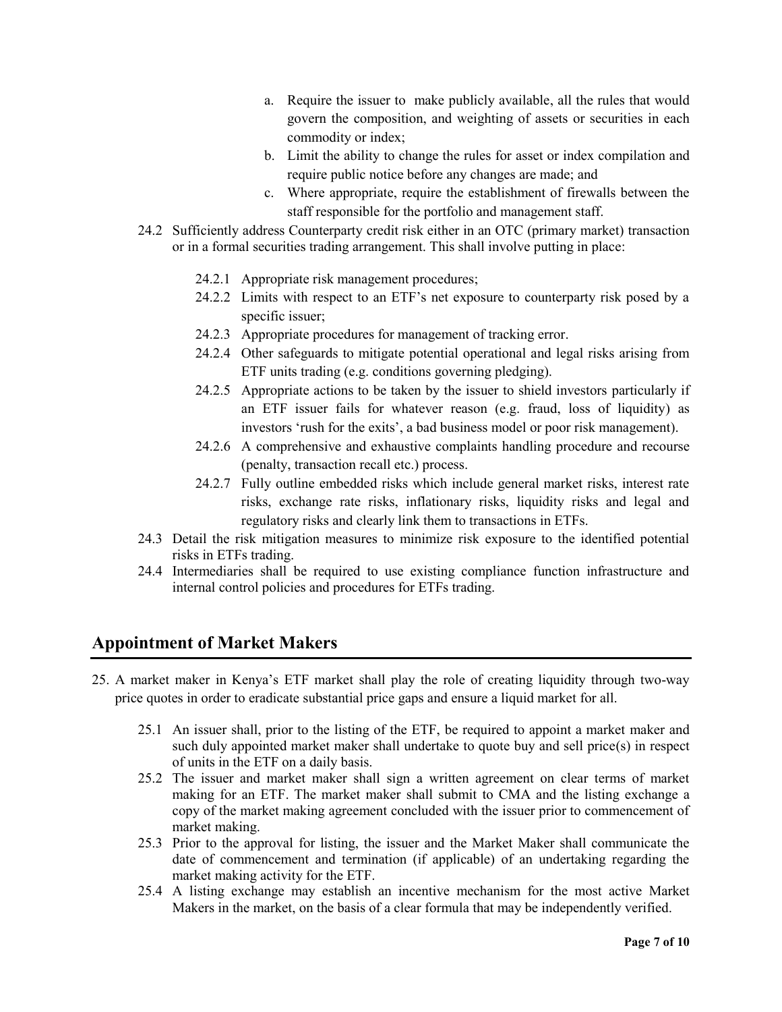- a. Require the issuer to make publicly available, all the rules that would govern the composition, and weighting of assets or securities in each commodity or index;
- b. Limit the ability to change the rules for asset or index compilation and require public notice before any changes are made; and
- c. Where appropriate, require the establishment of firewalls between the staff responsible for the portfolio and management staff.
- 24.2 Sufficiently address Counterparty credit risk either in an OTC (primary market) transaction or in a formal securities trading arrangement. This shall involve putting in place:
	- 24.2.1 Appropriate risk management procedures;
	- 24.2.2 Limits with respect to an ETF's net exposure to counterparty risk posed by a specific issuer;
	- 24.2.3 Appropriate procedures for management of tracking error.
	- 24.2.4 Other safeguards to mitigate potential operational and legal risks arising from ETF units trading (e.g. conditions governing pledging).
	- 24.2.5 Appropriate actions to be taken by the issuer to shield investors particularly if an ETF issuer fails for whatever reason (e.g. fraud, loss of liquidity) as investors 'rush for the exits', a bad business model or poor risk management).
	- 24.2.6 A comprehensive and exhaustive complaints handling procedure and recourse (penalty, transaction recall etc.) process.
	- 24.2.7 Fully outline embedded risks which include general market risks, interest rate risks, exchange rate risks, inflationary risks, liquidity risks and legal and regulatory risks and clearly link them to transactions in ETFs.
- 24.3 Detail the risk mitigation measures to minimize risk exposure to the identified potential risks in ETFs trading.
- 24.4 Intermediaries shall be required to use existing compliance function infrastructure and internal control policies and procedures for ETFs trading.

### **Appointment of Market Makers**

- 25. A market maker in Kenya's ETF market shall play the role of creating liquidity through two-way price quotes in order to eradicate substantial price gaps and ensure a liquid market for all.
	- 25.1 An issuer shall, prior to the listing of the ETF, be required to appoint a market maker and such duly appointed market maker shall undertake to quote buy and sell price(s) in respect of units in the ETF on a daily basis.
	- 25.2 The issuer and market maker shall sign a written agreement on clear terms of market making for an ETF. The market maker shall submit to CMA and the listing exchange a copy of the market making agreement concluded with the issuer prior to commencement of market making.
	- 25.3 Prior to the approval for listing, the issuer and the Market Maker shall communicate the date of commencement and termination (if applicable) of an undertaking regarding the market making activity for the ETF.
	- 25.4 A listing exchange may establish an incentive mechanism for the most active Market Makers in the market, on the basis of a clear formula that may be independently verified.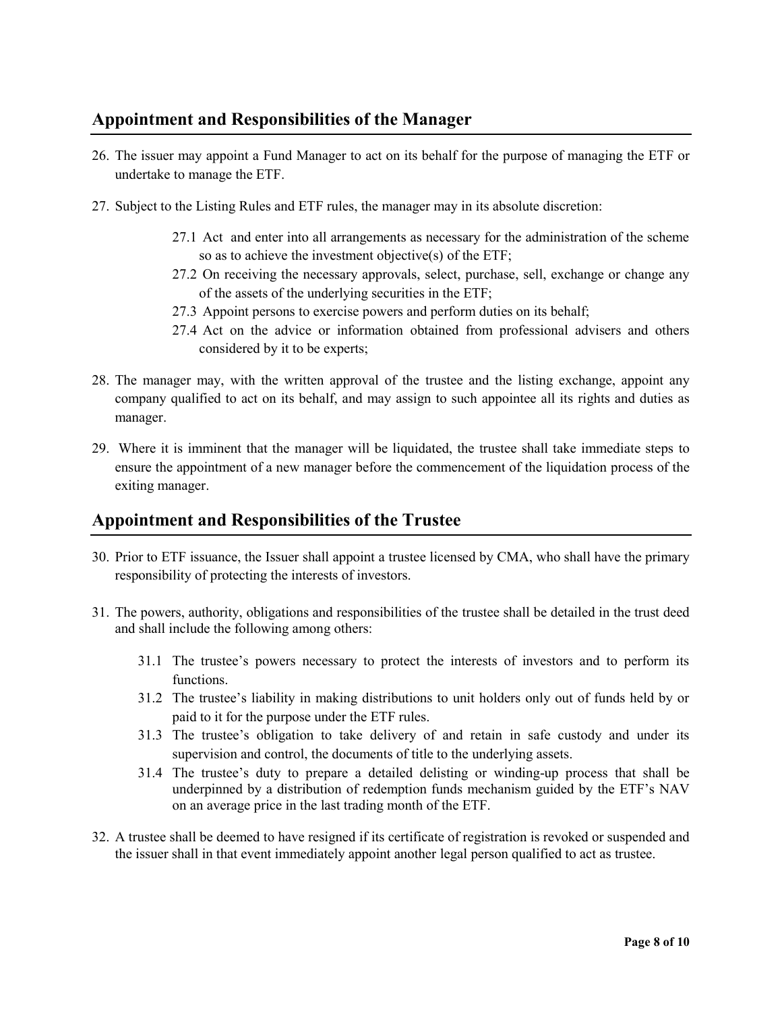# **Appointment and Responsibilities of the Manager**

- 26. The issuer may appoint a Fund Manager to act on its behalf for the purpose of managing the ETF or undertake to manage the ETF.
- 27. Subject to the Listing Rules and ETF rules, the manager may in its absolute discretion:
	- 27.1 Act and enter into all arrangements as necessary for the administration of the scheme so as to achieve the investment objective(s) of the ETF;
	- 27.2 On receiving the necessary approvals, select, purchase, sell, exchange or change any of the assets of the underlying securities in the ETF;
	- 27.3 Appoint persons to exercise powers and perform duties on its behalf;
	- 27.4 Act on the advice or information obtained from professional advisers and others considered by it to be experts;
- 28. The manager may, with the written approval of the trustee and the listing exchange, appoint any company qualified to act on its behalf, and may assign to such appointee all its rights and duties as manager.
- 29. Where it is imminent that the manager will be liquidated, the trustee shall take immediate steps to ensure the appointment of a new manager before the commencement of the liquidation process of the exiting manager.

### **Appointment and Responsibilities of the Trustee**

- 30. Prior to ETF issuance, the Issuer shall appoint a trustee licensed by CMA, who shall have the primary responsibility of protecting the interests of investors.
- 31. The powers, authority, obligations and responsibilities of the trustee shall be detailed in the trust deed and shall include the following among others:
	- 31.1 The trustee's powers necessary to protect the interests of investors and to perform its functions.
	- 31.2 The trustee's liability in making distributions to unit holders only out of funds held by or paid to it for the purpose under the ETF rules.
	- 31.3 The trustee's obligation to take delivery of and retain in safe custody and under its supervision and control, the documents of title to the underlying assets.
	- 31.4 The trustee's duty to prepare a detailed delisting or winding-up process that shall be underpinned by a distribution of redemption funds mechanism guided by the ETF's NAV on an average price in the last trading month of the ETF.
- 32. A trustee shall be deemed to have resigned if its certificate of registration is revoked or suspended and the issuer shall in that event immediately appoint another legal person qualified to act as trustee.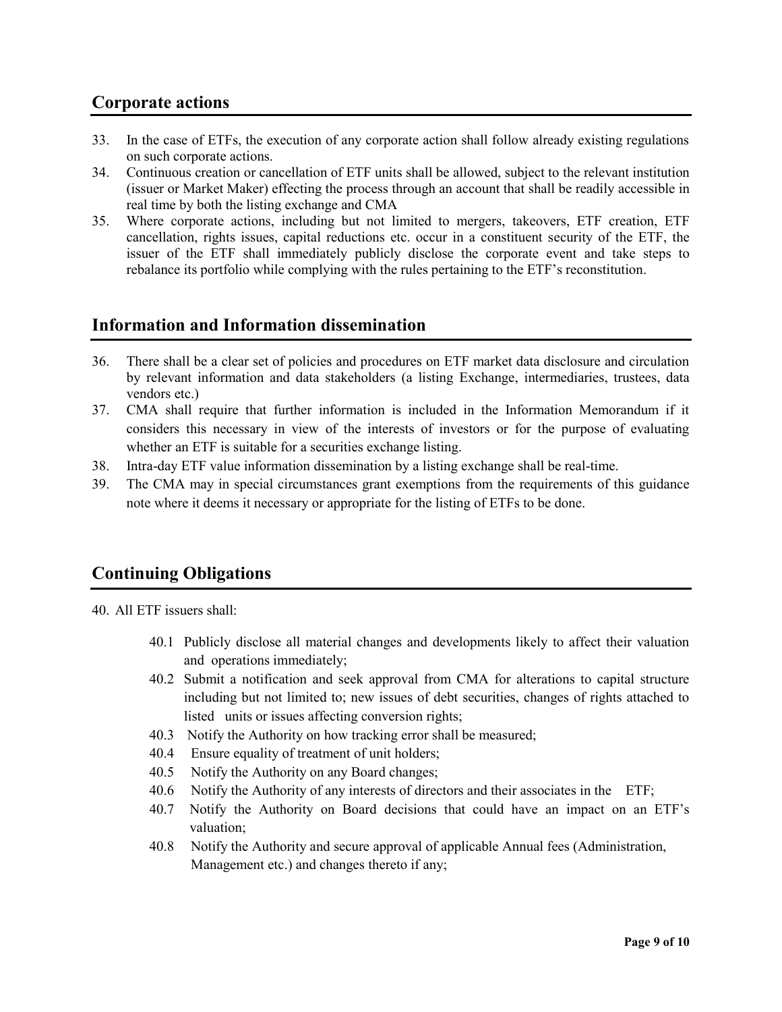## **Corporate actions**

- 33. In the case of ETFs, the execution of any corporate action shall follow already existing regulations on such corporate actions.
- 34. Continuous creation or cancellation of ETF units shall be allowed, subject to the relevant institution (issuer or Market Maker) effecting the process through an account that shall be readily accessible in real time by both the listing exchange and CMA
- 35. Where corporate actions, including but not limited to mergers, takeovers, ETF creation, ETF cancellation, rights issues, capital reductions etc. occur in a constituent security of the ETF, the issuer of the ETF shall immediately publicly disclose the corporate event and take steps to rebalance its portfolio while complying with the rules pertaining to the ETF's reconstitution.

### **Information and Information dissemination**

- 36. There shall be a clear set of policies and procedures on ETF market data disclosure and circulation by relevant information and data stakeholders (a listing Exchange, intermediaries, trustees, data vendors etc.)
- 37. CMA shall require that further information is included in the Information Memorandum if it considers this necessary in view of the interests of investors or for the purpose of evaluating whether an ETF is suitable for a securities exchange listing.
- 38. Intra-day ETF value information dissemination by a listing exchange shall be real-time.
- 39. The CMA may in special circumstances grant exemptions from the requirements of this guidance note where it deems it necessary or appropriate for the listing of ETFs to be done.

# **Continuing Obligations**

40. All ETF issuers shall:

- 40.1 Publicly disclose all material changes and developments likely to affect their valuation and operations immediately;
- 40.2 Submit a notification and seek approval from CMA for alterations to capital structure including but not limited to; new issues of debt securities, changes of rights attached to listed units or issues affecting conversion rights;
- 40.3 Notify the Authority on how tracking error shall be measured;
- 40.4 Ensure equality of treatment of unit holders;
- 40.5 Notify the Authority on any Board changes;
- 40.6 Notify the Authority of any interests of directors and their associates in the ETF;
- 40.7 Notify the Authority on Board decisions that could have an impact on an ETF's valuation;
- 40.8 Notify the Authority and secure approval of applicable Annual fees (Administration, Management etc.) and changes thereto if any;